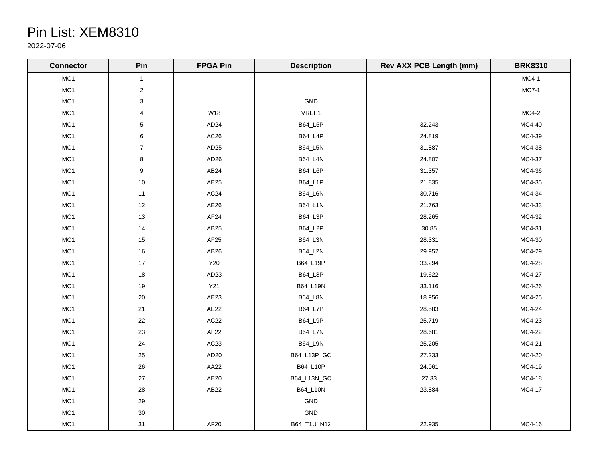## Pin List: XEM8310

2022-07-06

| <b>Connector</b> | Pin                     | <b>FPGA Pin</b>  | <b>Description</b> | <b>Rev AXX PCB Length (mm)</b> | <b>BRK8310</b> |
|------------------|-------------------------|------------------|--------------------|--------------------------------|----------------|
| MC1              | $\mathbf{1}$            |                  |                    |                                | $MC4-1$        |
| MC1              | $\overline{\mathbf{c}}$ |                  |                    |                                | $MC7-1$        |
| MC1              | 3                       |                  | GND                |                                |                |
| MC1              | $\overline{\mathbf{4}}$ | W18              | VREF1              |                                | $MC4-2$        |
| MC1              | $\mathbf 5$             | AD <sub>24</sub> | B64_L5P            | 32.243                         | MC4-40         |
| MC1              | 6                       | AC26             | <b>B64_L4P</b>     | 24.819                         | MC4-39         |
| MC1              | $\boldsymbol{7}$        | AD <sub>25</sub> | B64_L5N            | 31.887                         | MC4-38         |
| MC1              | 8                       | AD <sub>26</sub> | B64_L4N            | 24.807                         | MC4-37         |
| MC1              | 9                       | AB <sub>24</sub> | <b>B64_L6P</b>     | 31.357                         | MC4-36         |
| MC1              | 10                      | AE25             | B64_L1P            | 21.835                         | MC4-35         |
| MC1              | 11                      | AC <sub>24</sub> | B64_L6N            | 30.716                         | MC4-34         |
| MC1              | $12$                    | AE26             | B64_L1N            | 21.763                         | MC4-33         |
| MC1              | 13                      | AF <sub>24</sub> | B64_L3P            | 28.265                         | MC4-32         |
| MC1              | 14                      | AB <sub>25</sub> | B64_L2P            | 30.85                          | MC4-31         |
| MC1              | 15                      | AF <sub>25</sub> | B64_L3N            | 28.331                         | MC4-30         |
| MC1              | $16\,$                  | AB26             | B64_L2N            | 29.952                         | MC4-29         |
| MC1              | 17                      | Y20              | B64_L19P           | 33.294                         | MC4-28         |
| MC1              | 18                      | AD <sub>23</sub> | B64_L8P            | 19.622                         | MC4-27         |
| MC1              | 19                      | Y21              | B64_L19N           | 33.116                         | MC4-26         |
| MC1              | $20\,$                  | AE23             | B64_L8N            | 18.956                         | MC4-25         |
| MC1              | 21                      | AE22             | B64_L7P            | 28.583                         | MC4-24         |
| MC1              | 22                      | AC22             | B64_L9P            | 25.719                         | MC4-23         |
| MC1              | $23\,$                  | AF22             | B64_L7N            | 28.681                         | MC4-22         |
| MC1              | 24                      | AC23             | B64_L9N            | 25.205                         | MC4-21         |
| MC1              | 25                      | AD <sub>20</sub> | B64_L13P_GC        | 27.233                         | MC4-20         |
| MC1              | 26                      | AA22             | B64_L10P           | 24.061                         | MC4-19         |
| MC1              | 27                      | AE20             | B64_L13N_GC        | 27.33                          | MC4-18         |
| MC1              | $28\,$                  | AB <sub>22</sub> | B64_L10N           | 23.884                         | MC4-17         |
| MC1              | 29                      |                  | GND                |                                |                |
| MC1              | $30\,$                  |                  | $\mathsf{GND}$     |                                |                |
| MC1              | 31                      | AF20             | B64_T1U_N12        | 22.935                         | MC4-16         |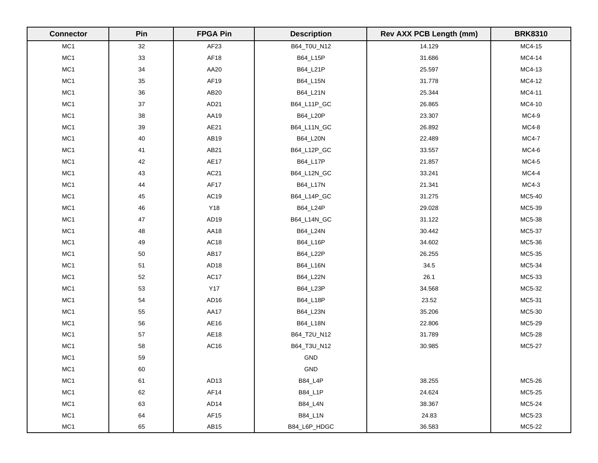| <b>Connector</b> | Pin    | <b>FPGA Pin</b>  | <b>Description</b> | <b>Rev AXX PCB Length (mm)</b> | <b>BRK8310</b> |
|------------------|--------|------------------|--------------------|--------------------------------|----------------|
| MC1              | 32     | AF23             | B64_T0U_N12        | 14.129                         | MC4-15         |
| MC1              | 33     | AF18             | B64_L15P           | 31.686                         | MC4-14         |
| MC1              | $34\,$ | AA20             | B64_L21P           | 25.597                         | MC4-13         |
| MC1              | 35     | AF19             | B64_L15N           | 31.778                         | MC4-12         |
| MC1              | 36     | AB20             | B64_L21N           | 25.344                         | MC4-11         |
| MC1              | $37\,$ | AD <sub>21</sub> | B64_L11P_GC        | 26.865                         | MC4-10         |
| MC1              | $38\,$ | AA19             | B64_L20P           | 23.307                         | MC4-9          |
| MC1              | $39\,$ | AE21             | B64_L11N_GC        | 26.892                         | $MC4-8$        |
| MC1              | 40     | AB19             | B64_L20N           | 22.489                         | <b>MC4-7</b>   |
| MC1              | 41     | AB21             | B64_L12P_GC        | 33.557                         | $MC4-6$        |
| MC1              | 42     | <b>AE17</b>      | B64_L17P           | 21.857                         | $MC4-5$        |
| MC1              | 43     | AC21             | B64_L12N_GC        | 33.241                         | $MC4-4$        |
| MC1              | 44     | AF17             | B64_L17N           | 21.341                         | $MC4-3$        |
| MC1              | 45     | AC19             | B64_L14P_GC        | 31.275                         | MC5-40         |
| MC1              | 46     | Y18              | B64_L24P           | 29.028                         | MC5-39         |
| MC1              | $47\,$ | AD <sub>19</sub> | B64_L14N_GC        | 31.122                         | MC5-38         |
| MC1              | 48     | AA18             | B64_L24N           | 30.442                         | MC5-37         |
| MC1              | 49     | AC18             | B64_L16P           | 34.602                         | MC5-36         |
| MC1              | 50     | AB17             | B64_L22P           | 26.255                         | MC5-35         |
| MC1              | 51     | AD <sub>18</sub> | B64_L16N           | 34.5                           | MC5-34         |
| MC1              | 52     | AC17             | B64_L22N           | 26.1                           | MC5-33         |
| MC1              | 53     | <b>Y17</b>       | B64_L23P           | 34.568                         | MC5-32         |
| MC1              | 54     | AD <sub>16</sub> | B64_L18P           | 23.52                          | MC5-31         |
| MC1              | 55     | AA17             | B64_L23N           | 35.206                         | MC5-30         |
| MC1              | 56     | AE16             | B64_L18N           | 22.806                         | MC5-29         |
| MC1              | 57     | AE18             | B64_T2U_N12        | 31.789                         | MC5-28         |
| MC1              | 58     | AC16             | B64_T3U_N12        | 30.985                         | MC5-27         |
| MC1              | 59     |                  | GND                |                                |                |
| MC1              | 60     |                  | GND                |                                |                |
| MC1              | 61     | AD <sub>13</sub> | <b>B84_L4P</b>     | 38.255                         | MC5-26         |
| MC1              | 62     | AF14             | B84_L1P            | 24.624                         | MC5-25         |
| MC1              | 63     | AD <sub>14</sub> | <b>B84_L4N</b>     | 38.367                         | MC5-24         |
| MC1              | 64     | AF15             | <b>B84_L1N</b>     | 24.83                          | MC5-23         |
| MC1              | 65     | AB <sub>15</sub> | B84_L6P_HDGC       | 36.583                         | MC5-22         |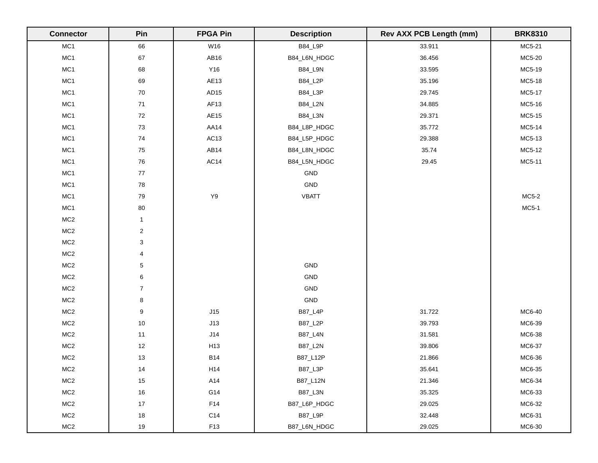| <b>Connector</b> | Pin                       | <b>FPGA Pin</b>  | <b>Description</b> | <b>Rev AXX PCB Length (mm)</b> | <b>BRK8310</b> |
|------------------|---------------------------|------------------|--------------------|--------------------------------|----------------|
| MC1              | 66                        | W16              | <b>B84_L9P</b>     | 33.911                         | MC5-21         |
| MC1              | 67                        | AB16             | B84_L6N_HDGC       | 36.456                         | MC5-20         |
| MC1              | 68                        | Y16              | B84_L9N            | 33.595                         | MC5-19         |
| MC1              | 69                        | AE13             | B84_L2P            | 35.196                         | MC5-18         |
| MC1              | 70                        | AD <sub>15</sub> | <b>B84_L3P</b>     | 29.745                         | MC5-17         |
| MC1              | 71                        | AF <sub>13</sub> | B84_L2N            | 34.885                         | MC5-16         |
| MC1              | 72                        | AE15             | <b>B84_L3N</b>     | 29.371                         | MC5-15         |
| MC1              | 73                        | AA14             | B84_L8P_HDGC       | 35.772                         | MC5-14         |
| MC1              | 74                        | AC <sub>13</sub> | B84_L5P_HDGC       | 29.388                         | MC5-13         |
| MC1              | ${\bf 75}$                | AB14             | B84_L8N_HDGC       | 35.74                          | MC5-12         |
| MC1              | 76                        | AC14             | B84_L5N_HDGC       | 29.45                          | MC5-11         |
| MC1              | $77$                      |                  | $\mathsf{GND}$     |                                |                |
| MC1              | 78                        |                  | GND                |                                |                |
| MC1              | $\bf 79$                  | $\mathsf{Y}9$    | <b>VBATT</b>       |                                | $MC5-2$        |
| MC1              | $80\,$                    |                  |                    |                                | <b>MC5-1</b>   |
| MC2              | $\mathbf{1}$              |                  |                    |                                |                |
| MC2              | $\overline{\mathbf{c}}$   |                  |                    |                                |                |
| MC2              | $\ensuremath{\mathsf{3}}$ |                  |                    |                                |                |
| MC2              | $\overline{\mathbf{4}}$   |                  |                    |                                |                |
| MC2              | 5                         |                  | $\mathsf{GND}$     |                                |                |
| MC2              | 6                         |                  | GND                |                                |                |
| MC2              | $\overline{7}$            |                  | GND                |                                |                |
| MC2              | $\bf 8$                   |                  | $\mathsf{GND}$     |                                |                |
| MC <sub>2</sub>  | 9                         | J15              | <b>B87_L4P</b>     | 31.722                         | MC6-40         |
| MC2              | $10$                      | J13              | B87_L2P            | 39.793                         | MC6-39         |
| MC2              | 11                        | J14              | <b>B87_L4N</b>     | 31.581                         | MC6-38         |
| MC <sub>2</sub>  | 12                        | H13              | <b>B87_L2N</b>     | 39.806                         | MC6-37         |
| MC2              | $13$                      | <b>B14</b>       | B87_L12P           | 21.866                         | MC6-36         |
| MC2              | 14                        | H14              | <b>B87_L3P</b>     | 35.641                         | MC6-35         |
| MC2              | 15                        | A14              | B87_L12N           | 21.346                         | MC6-34         |
| MC2              | 16                        | G14              | B87_L3N            | 35.325                         | MC6-33         |
| MC2              | 17                        | F14              | B87_L6P_HDGC       | 29.025                         | MC6-32         |
| MC2              | 18                        | C14              | B87_L9P            | 32.448                         | MC6-31         |
| MC2              | 19                        | F13              | B87_L6N_HDGC       | 29.025                         | MC6-30         |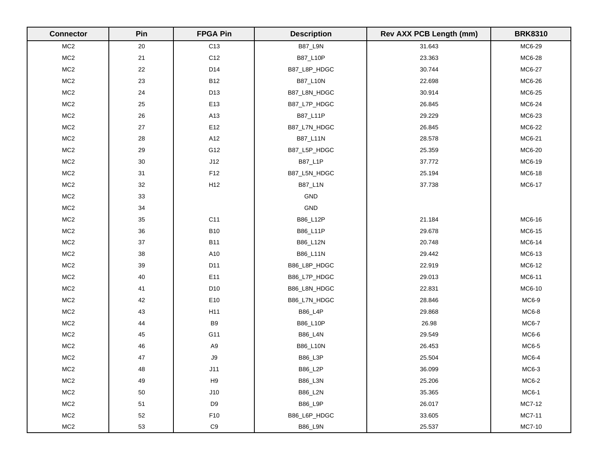| <b>Connector</b> | Pin    | <b>FPGA Pin</b> | <b>Description</b> | <b>Rev AXX PCB Length (mm)</b> | <b>BRK8310</b> |
|------------------|--------|-----------------|--------------------|--------------------------------|----------------|
| MC <sub>2</sub>  | $20\,$ | C <sub>13</sub> | <b>B87_L9N</b>     | 31.643                         | MC6-29         |
| MC <sub>2</sub>  | 21     | C12             | B87_L10P           | 23.363                         | MC6-28         |
| MC <sub>2</sub>  | $22\,$ | D14             | B87_L8P_HDGC       | 30.744                         | MC6-27         |
| MC <sub>2</sub>  | 23     | <b>B12</b>      | B87_L10N           | 22.698                         | MC6-26         |
| MC <sub>2</sub>  | 24     | D13             | B87_L8N_HDGC       | 30.914                         | MC6-25         |
| MC <sub>2</sub>  | 25     | E13             | B87_L7P_HDGC       | 26.845                         | MC6-24         |
| MC2              | $26\,$ | A13             | B87_L11P           | 29.229                         | MC6-23         |
| MC2              | $27\,$ | E12             | B87_L7N_HDGC       | 26.845                         | MC6-22         |
| MC2              | $28\,$ | A12             | B87_L11N           | 28.578                         | MC6-21         |
| MC2              | 29     | G12             | B87_L5P_HDGC       | 25.359                         | MC6-20         |
| MC <sub>2</sub>  | $30\,$ | J12             | B87_L1P            | 37.772                         | MC6-19         |
| MC2              | 31     | F12             | B87_L5N_HDGC       | 25.194                         | MC6-18         |
| MC <sub>2</sub>  | $32\,$ | H12             | B87_L1N            | 37.738                         | MC6-17         |
| MC2              | 33     |                 | GND                |                                |                |
| MC2              | 34     |                 | GND                |                                |                |
| MC <sub>2</sub>  | $35\,$ | C11             | B86_L12P           | 21.184                         | MC6-16         |
| MC <sub>2</sub>  | 36     | <b>B10</b>      | B86_L11P           | 29.678                         | MC6-15         |
| MC <sub>2</sub>  | $37\,$ | <b>B11</b>      | B86_L12N           | 20.748                         | MC6-14         |
| MC2              | $38\,$ | A10             | B86_L11N           | 29.442                         | MC6-13         |
| MC2              | 39     | D11             | B86_L8P_HDGC       | 22.919                         | MC6-12         |
| MC2              | 40     | E11             | B86_L7P_HDGC       | 29.013                         | MC6-11         |
| MC <sub>2</sub>  | 41     | D <sub>10</sub> | B86_L8N_HDGC       | 22.831                         | MC6-10         |
| MC2              | 42     | E10             | B86_L7N_HDGC       | 28.846                         | MC6-9          |
| MC <sub>2</sub>  | 43     | H11             | B86_L4P            | 29.868                         | $MC6-8$        |
| MC2              | 44     | B <sub>9</sub>  | B86_L10P           | 26.98                          | <b>MC6-7</b>   |
| MC2              | $45\,$ | G11             | <b>B86_L4N</b>     | 29.549                         | $MC6-6$        |
| MC <sub>2</sub>  | 46     | A <sub>9</sub>  | B86_L10N           | 26.453                         | MC6-5          |
| MC2              | $47\,$ | $\mathsf{J}9$   | B86_L3P            | 25.504                         | $MC6-4$        |
| MC <sub>2</sub>  | 48     | J11             | B86_L2P            | 36.099                         | MC6-3          |
| MC <sub>2</sub>  | 49     | H9              | B86_L3N            | 25.206                         | MC6-2          |
| MC <sub>2</sub>  | 50     | J10             | <b>B86_L2N</b>     | 35.365                         | MC6-1          |
| MC <sub>2</sub>  | 51     | D <sub>9</sub>  | <b>B86_L9P</b>     | 26.017                         | MC7-12         |
| MC <sub>2</sub>  | 52     | F10             | B86_L6P_HDGC       | 33.605                         | MC7-11         |
| MC2              | 53     | C9              | <b>B86_L9N</b>     | 25.537                         | MC7-10         |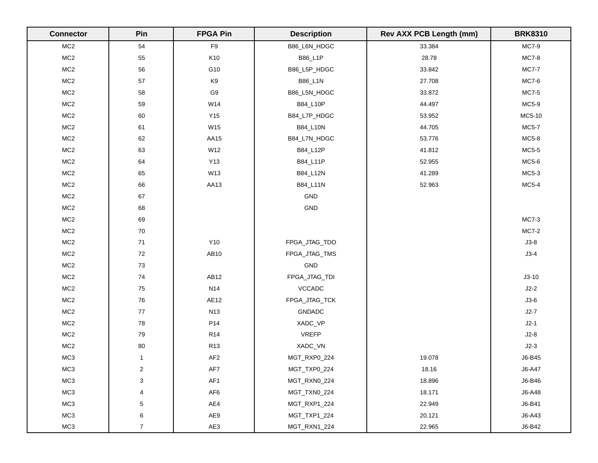| <b>Connector</b> | Pin                     | <b>FPGA Pin</b>  | <b>Description</b> | <b>Rev AXX PCB Length (mm)</b> | <b>BRK8310</b> |
|------------------|-------------------------|------------------|--------------------|--------------------------------|----------------|
| MC <sub>2</sub>  | 54                      | F9               | B86_L6N_HDGC       | 33.384                         | <b>MC7-9</b>   |
| MC <sub>2</sub>  | 55                      | K10              | B86_L1P            | 28.78                          | <b>MC7-8</b>   |
| MC <sub>2</sub>  | 56                      | G10              | B86_L5P_HDGC       | 33.842                         | <b>MC7-7</b>   |
| MC <sub>2</sub>  | 57                      | K9               | B86_L1N            | 27.708                         | MC7-6          |
| MC <sub>2</sub>  | 58                      | G9               | B86_L5N_HDGC       | 33.872                         | <b>MC7-5</b>   |
| MC <sub>2</sub>  | 59                      | W14              | B84_L10P           | 44.497                         | MC5-9          |
| MC <sub>2</sub>  | 60                      | Y15              | B84_L7P_HDGC       | 53.952                         | MC5-10         |
| MC <sub>2</sub>  | 61                      | W15              | B84_L10N           | 44.705                         | <b>MC5-7</b>   |
| MC <sub>2</sub>  | 62                      | AA15             | B84_L7N_HDGC       | 53.776                         | MC5-8          |
| MC2              | 63                      | W12              | B84_L12P           | 41.812                         | MC5-5          |
| MC <sub>2</sub>  | 64                      | <b>Y13</b>       | B84_L11P           | 52.955                         | MC5-6          |
| MC <sub>2</sub>  | 65                      | W13              | B84_L12N           | 41.289                         | $MC5-3$        |
| MC2              | 66                      | AA13             | B84_L11N           | 52.963                         | MC5-4          |
| MC2              | 67                      |                  | GND                |                                |                |
| MC <sub>2</sub>  | 68                      |                  | GND                |                                |                |
| MC <sub>2</sub>  | 69                      |                  |                    |                                | <b>MC7-3</b>   |
| MC <sub>2</sub>  | $70\,$                  |                  |                    |                                | <b>MC7-2</b>   |
| MC <sub>2</sub>  | 71                      | Y10              | FPGA_JTAG_TDO      |                                | $J3-8$         |
| MC <sub>2</sub>  | 72                      | AB10             | FPGA_JTAG_TMS      |                                | $J3-4$         |
| MC <sub>2</sub>  | $73\,$                  |                  | GND                |                                |                |
| MC2              | $74\,$                  | AB <sub>12</sub> | FPGA_JTAG_TDI      |                                | $J3-10$        |
| MC <sub>2</sub>  | ${\bf 75}$              | N14              | VCCADC             |                                | $J2-2$         |
| MC2              | ${\bf 76}$              | AE12             | FPGA_JTAG_TCK      |                                | $J3-6$         |
| MC2              | $77\,$                  | <b>N13</b>       | <b>GNDADC</b>      |                                | $J2-7$         |
| MC2              | 78                      | P14              | XADC_VP            |                                | $J2-1$         |
| MC <sub>2</sub>  | 79                      | <b>R14</b>       | <b>VREFP</b>       |                                | $J2-8$         |
| MC <sub>2</sub>  | $80\,$                  | R <sub>13</sub>  | XADC_VN            |                                | $J2-3$         |
| MC3              | $\mathbf{1}$            | AF2              | MGT_RXP0_224       | 19.078                         | J6-B45         |
| MC3              | $\overline{\mathbf{c}}$ | AF7              | MGT_TXP0_224       | 18.16                          | J6-A47         |
| MC3              | 3                       | AF1              | MGT_RXN0_224       | 18.896                         | J6-B46         |
| MC <sub>3</sub>  | $\overline{\mathbf{4}}$ | AF <sub>6</sub>  | MGT_TXN0_224       | 18.171                         | J6-A48         |
| MC <sub>3</sub>  | 5                       | AE4              | MGT_RXP1_224       | 22.949                         | J6-B41         |
| MC <sub>3</sub>  | 6                       | AE9              | MGT_TXP1_224       | 20.121                         | J6-A43         |
| MC <sub>3</sub>  | $\overline{7}$          | AE3              | MGT_RXN1_224       | 22.965                         | J6-B42         |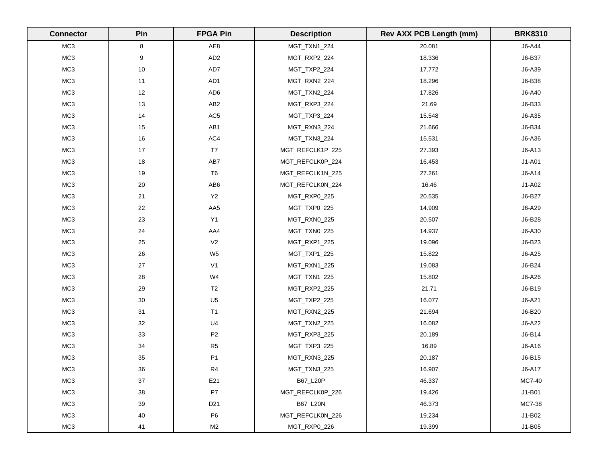| <b>Connector</b> | Pin              | <b>FPGA Pin</b> | <b>Description</b> | <b>Rev AXX PCB Length (mm)</b> | <b>BRK8310</b> |
|------------------|------------------|-----------------|--------------------|--------------------------------|----------------|
| MC <sub>3</sub>  | 8                | AE8             | MGT_TXN1_224       | 20.081                         | J6-A44         |
| MC3              | $\boldsymbol{9}$ | AD <sub>2</sub> | MGT_RXP2_224       | 18.336                         | J6-B37         |
| MC <sub>3</sub>  | $10$             | AD7             | MGT_TXP2_224       | 17.772                         | J6-A39         |
| MC3              | 11               | AD1             | MGT_RXN2_224       | 18.296                         | J6-B38         |
| MC <sub>3</sub>  | $12\,$           | AD <sub>6</sub> | MGT_TXN2_224       | 17.826                         | J6-A40         |
| MC <sub>3</sub>  | 13               | AB <sub>2</sub> | MGT_RXP3_224       | 21.69                          | J6-B33         |
| MC3              | 14               | AC <sub>5</sub> | MGT_TXP3_224       | 15.548                         | J6-A35         |
| MC3              | 15               | AB1             | MGT_RXN3_224       | 21.666                         | J6-B34         |
| MC3              | $16\,$           | AC4             | MGT_TXN3_224       | 15.531                         | J6-A36         |
| MC <sub>3</sub>  | $17$             | T7              | MGT_REFCLK1P_225   | 27.393                         | J6-A13         |
| MC3              | $18$             | AB7             | MGT_REFCLK0P_224   | 16.453                         | J1-A01         |
| MC3              | 19               | T <sub>6</sub>  | MGT_REFCLK1N_225   | 27.261                         | J6-A14         |
| MC <sub>3</sub>  | $20\,$           | AB6             | MGT_REFCLK0N_224   | 16.46                          | J1-A02         |
| MC3              | 21               | Y2              | MGT_RXP0_225       | 20.535                         | J6-B27         |
| MC3              | 22               | AA5             | MGT_TXP0_225       | 14.909                         | J6-A29         |
| MC <sub>3</sub>  | 23               | Y1              | MGT_RXN0_225       | 20.507                         | J6-B28         |
| MC <sub>3</sub>  | 24               | AA4             | MGT_TXN0_225       | 14.937                         | J6-A30         |
| MC3              | 25               | V <sub>2</sub>  | MGT_RXP1_225       | 19.096                         | J6-B23         |
| MC3              | 26               | W <sub>5</sub>  | MGT_TXP1_225       | 15.822                         | J6-A25         |
| MC3              | $27\,$           | V <sub>1</sub>  | MGT_RXN1_225       | 19.083                         | J6-B24         |
| MC3              | 28               | W4              | MGT_TXN1_225       | 15.802                         | J6-A26         |
| MC3              | 29               | T <sub>2</sub>  | MGT_RXP2_225       | 21.71                          | J6-B19         |
| MC3              | $30\,$           | U <sub>5</sub>  | MGT_TXP2_225       | 16.077                         | J6-A21         |
| MC <sub>3</sub>  | 31               | T1              | MGT_RXN2_225       | 21.694                         | J6-B20         |
| MC3              | 32               | U <sub>4</sub>  | MGT_TXN2_225       | 16.082                         | J6-A22         |
| MC3              | 33               | P <sub>2</sub>  | MGT_RXP3_225       | 20.189                         | J6-B14         |
| MC3              | 34               | R5              | MGT_TXP3_225       | 16.89                          | J6-A16         |
| MC3              | 35               | P <sub>1</sub>  | MGT_RXN3_225       | 20.187                         | J6-B15         |
| MC <sub>3</sub>  | 36               | R <sub>4</sub>  | MGT_TXN3_225       | 16.907                         | J6-A17         |
| MC3              | 37               | E21             | B67_L20P           | 46.337                         | MC7-40         |
| MC3              | 38               | P7              | MGT_REFCLK0P_226   | 19.426                         | J1-B01         |
| MC3              | 39               | D <sub>21</sub> | B67_L20N           | 46.373                         | MC7-38         |
| MC <sub>3</sub>  | $40\,$           | P <sub>6</sub>  | MGT_REFCLK0N_226   | 19.234                         | J1-B02         |
| MC3              | 41               | M2              | MGT_RXP0_226       | 19.399                         | J1-B05         |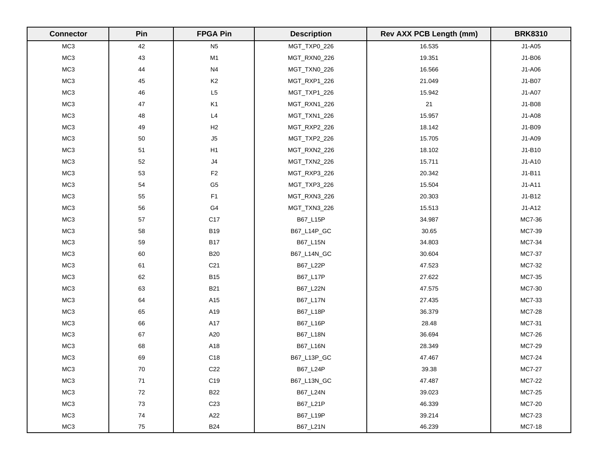| <b>Connector</b> | Pin    | <b>FPGA Pin</b> | <b>Description</b> | <b>Rev AXX PCB Length (mm)</b> | <b>BRK8310</b> |
|------------------|--------|-----------------|--------------------|--------------------------------|----------------|
| MC <sub>3</sub>  | 42     | N <sub>5</sub>  | MGT_TXP0_226       | 16.535                         | J1-A05         |
| MC3              | 43     | M1              | MGT_RXN0_226       | 19.351                         | J1-B06         |
| MC3              | 44     | N <sub>4</sub>  | MGT_TXN0_226       | 16.566                         | J1-A06         |
| MC <sub>3</sub>  | 45     | K <sub>2</sub>  | MGT_RXP1_226       | 21.049                         | J1-B07         |
| MC <sub>3</sub>  | 46     | L5              | MGT_TXP1_226       | 15.942                         | J1-A07         |
| MC3              | 47     | K <sub>1</sub>  | MGT_RXN1_226       | 21                             | J1-B08         |
| MC3              | 48     | L4              | MGT_TXN1_226       | 15.957                         | J1-A08         |
| MC3              | 49     | H2              | MGT_RXP2_226       | 18.142                         | J1-B09         |
| MC <sub>3</sub>  | 50     | J5              | MGT_TXP2_226       | 15.705                         | J1-A09         |
| MC <sub>3</sub>  | 51     | H1              | MGT_RXN2_226       | 18.102                         | J1-B10         |
| MC3              | 52     | $\sf J4$        | MGT_TXN2_226       | 15.711                         | J1-A10         |
| MC <sub>3</sub>  | 53     | $\mathsf{F}2$   | MGT_RXP3_226       | 20.342                         | J1-B11         |
| MC3              | 54     | G <sub>5</sub>  | MGT_TXP3_226       | 15.504                         | $J1-A11$       |
| MC3              | 55     | F1              | MGT_RXN3_226       | 20.303                         | J1-B12         |
| MC3              | 56     | G4              | MGT_TXN3_226       | 15.513                         | $J1-A12$       |
| MC <sub>3</sub>  | 57     | C17             | B67_L15P           | 34.987                         | MC7-36         |
| MC3              | 58     | <b>B19</b>      | B67_L14P_GC        | 30.65                          | MC7-39         |
| MC <sub>3</sub>  | 59     | <b>B17</b>      | B67_L15N           | 34.803                         | MC7-34         |
| MC3              | 60     | <b>B20</b>      | B67_L14N_GC        | 30.604                         | MC7-37         |
| MC3              | 61     | C <sub>21</sub> | B67_L22P           | 47.523                         | MC7-32         |
| MC3              | 62     | <b>B15</b>      | B67_L17P           | 27.622                         | MC7-35         |
| MC <sub>3</sub>  | 63     | <b>B21</b>      | B67_L22N           | 47.575                         | MC7-30         |
| MC3              | 64     | A15             | B67_L17N           | 27.435                         | MC7-33         |
| MC3              | 65     | A19             | B67_L18P           | 36.379                         | MC7-28         |
| MC3              | 66     | A17             | B67_L16P           | 28.48                          | MC7-31         |
| MC3              | 67     | A20             | B67_L18N           | 36.694                         | MC7-26         |
| MC3              | 68     | A18             | B67_L16N           | 28.349                         | MC7-29         |
| MC3              | 69     | C18             | B67_L13P_GC        | 47.467                         | MC7-24         |
| MC <sub>3</sub>  | $70\,$ | C <sub>22</sub> | B67_L24P           | 39.38                          | MC7-27         |
| MC3              | $71\,$ | C19             | B67_L13N_GC        | 47.487                         | MC7-22         |
| MC3              | $72\,$ | <b>B22</b>      | B67_L24N           | 39.023                         | MC7-25         |
| MC3              | $73\,$ | C <sub>23</sub> | B67_L21P           | 46.339                         | MC7-20         |
| MC3              | 74     | A22             | B67_L19P           | 39.214                         | MC7-23         |
| MC3              | 75     | <b>B24</b>      | B67_L21N           | 46.239                         | MC7-18         |